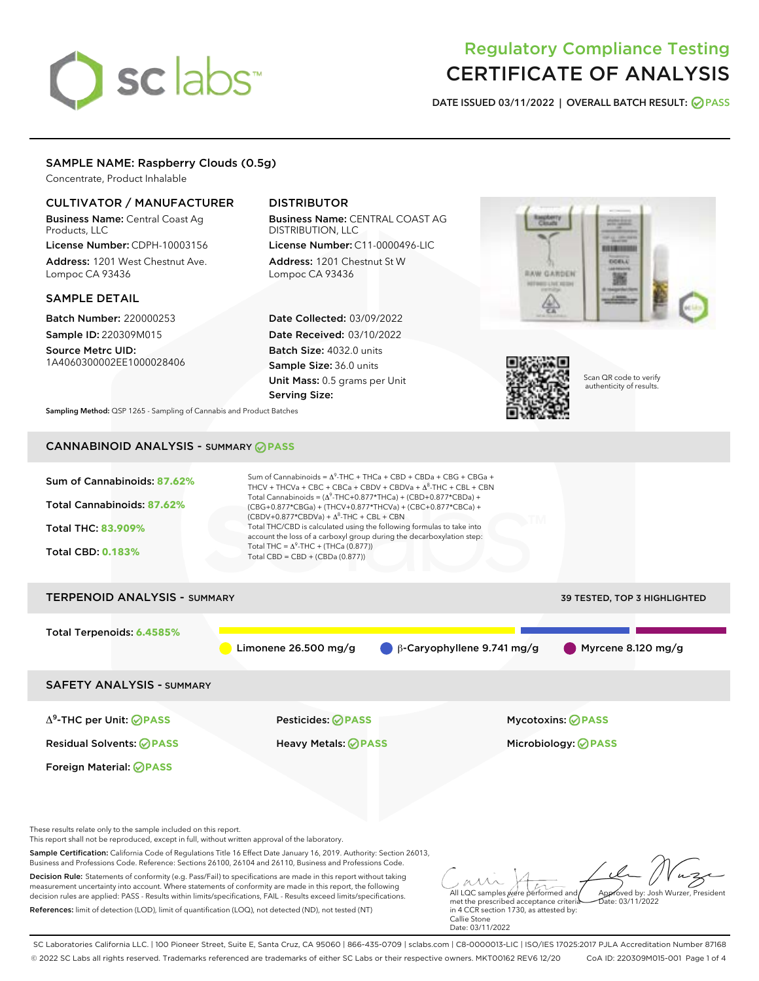# sclabs<sup>\*</sup>

# Regulatory Compliance Testing CERTIFICATE OF ANALYSIS

DATE ISSUED 03/11/2022 | OVERALL BATCH RESULT: @ PASS

# SAMPLE NAME: Raspberry Clouds (0.5g)

Concentrate, Product Inhalable

# CULTIVATOR / MANUFACTURER

Business Name: Central Coast Ag Products, LLC License Number: CDPH-10003156

Address: 1201 West Chestnut Ave. Lompoc CA 93436

#### SAMPLE DETAIL

Batch Number: 220000253 Sample ID: 220309M015

Source Metrc UID: 1A4060300002EE1000028406

# DISTRIBUTOR

Business Name: CENTRAL COAST AG DISTRIBUTION, LLC License Number: C11-0000496-LIC

Address: 1201 Chestnut St W Lompoc CA 93436

Date Collected: 03/09/2022 Date Received: 03/10/2022 Batch Size: 4032.0 units Sample Size: 36.0 units Unit Mass: 0.5 grams per Unit Serving Size:





Scan QR code to verify authenticity of results.

Sampling Method: QSP 1265 - Sampling of Cannabis and Product Batches

# CANNABINOID ANALYSIS - SUMMARY **PASS**



This report shall not be reproduced, except in full, without written approval of the laboratory.

Sample Certification: California Code of Regulations Title 16 Effect Date January 16, 2019. Authority: Section 26013, Business and Professions Code. Reference: Sections 26100, 26104 and 26110, Business and Professions Code.

Decision Rule: Statements of conformity (e.g. Pass/Fail) to specifications are made in this report without taking measurement uncertainty into account. Where statements of conformity are made in this report, the following decision rules are applied: PASS - Results within limits/specifications, FAIL - Results exceed limits/specifications. References: limit of detection (LOD), limit of quantification (LOQ), not detected (ND), not tested (NT)

All LQC samples were performed and met the prescribed acceptance criteria Approved by: Josh Wurzer, President  $\frac{1}{2}$ ate: 03/11/2022

in 4 CCR section 1730, as attested by: Callie Stone Date: 03/11/2022

SC Laboratories California LLC. | 100 Pioneer Street, Suite E, Santa Cruz, CA 95060 | 866-435-0709 | sclabs.com | C8-0000013-LIC | ISO/IES 17025:2017 PJLA Accreditation Number 87168 © 2022 SC Labs all rights reserved. Trademarks referenced are trademarks of either SC Labs or their respective owners. MKT00162 REV6 12/20 CoA ID: 220309M015-001 Page 1 of 4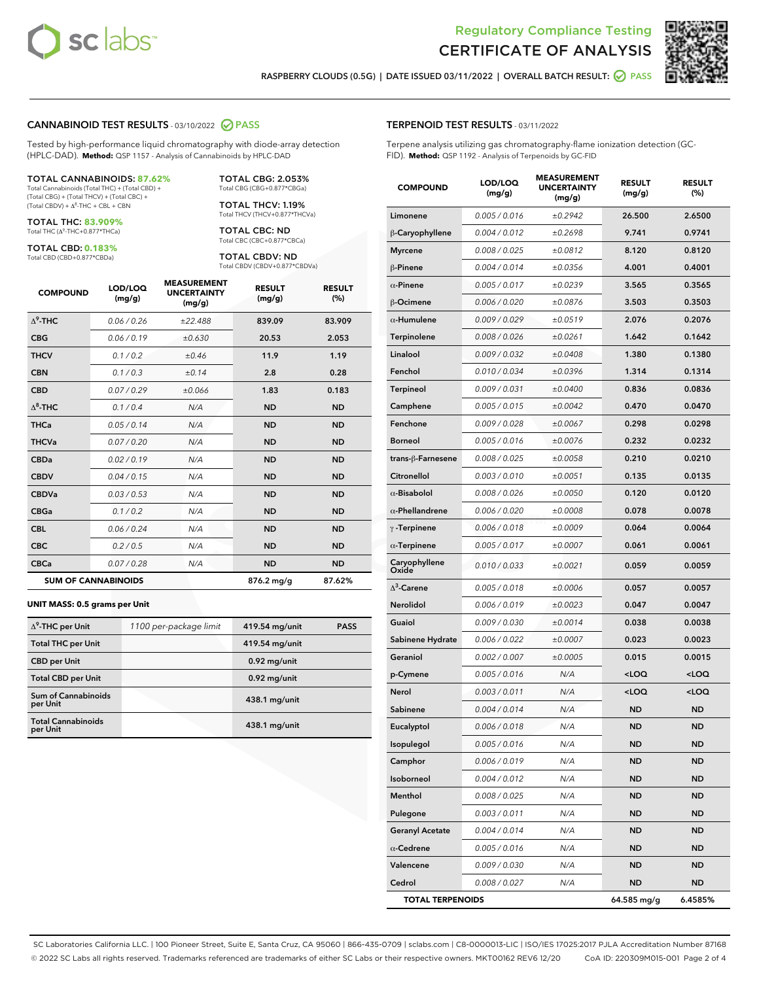



RASPBERRY CLOUDS (0.5G) | DATE ISSUED 03/11/2022 | OVERALL BATCH RESULT: @ PASS

#### CANNABINOID TEST RESULTS - 03/10/2022 2 PASS

Tested by high-performance liquid chromatography with diode-array detection (HPLC-DAD). **Method:** QSP 1157 - Analysis of Cannabinoids by HPLC-DAD

#### TOTAL CANNABINOIDS: **87.62%**

Total Cannabinoids (Total THC) + (Total CBD) + (Total CBG) + (Total THCV) + (Total CBC) +  $(Total CBDV) +  $\Delta^8$ -THC + CBL + CBN$ 

TOTAL THC: **83.909%** Total THC (Δ<sup>9</sup> -THC+0.877\*THCa)

TOTAL CBD: **0.183%**

Total CBD (CBD+0.877\*CBDa)

TOTAL CBG: 2.053% Total CBG (CBG+0.877\*CBGa)

TOTAL THCV: 1.19% Total THCV (THCV+0.877\*THCVa)

TOTAL CBC: ND Total CBC (CBC+0.877\*CBCa)

TOTAL CBDV: ND Total CBDV (CBDV+0.877\*CBDVa)

| <b>COMPOUND</b>  | LOD/LOQ<br>(mg/g)          | <b>MEASUREMENT</b><br><b>UNCERTAINTY</b><br>(mg/g) | <b>RESULT</b><br>(mg/g) | <b>RESULT</b><br>(%) |
|------------------|----------------------------|----------------------------------------------------|-------------------------|----------------------|
| $\Lambda^9$ -THC | 0.06/0.26                  | ±22.488                                            | 839.09                  | 83.909               |
| <b>CBG</b>       | 0.06/0.19                  | ±0.630                                             | 20.53                   | 2.053                |
| <b>THCV</b>      | 0.1/0.2                    | ±0.46                                              | 11.9                    | 1.19                 |
| <b>CBN</b>       | 0.1/0.3                    | ±0.14                                              | 2.8                     | 0.28                 |
| <b>CBD</b>       | 0.07/0.29                  | ±0.066                                             | 1.83                    | 0.183                |
| $\Delta^8$ -THC  | 0.1 / 0.4                  | N/A                                                | <b>ND</b>               | <b>ND</b>            |
| <b>THCa</b>      | 0.05/0.14                  | N/A                                                | <b>ND</b>               | <b>ND</b>            |
| <b>THCVa</b>     | 0.07/0.20                  | N/A                                                | <b>ND</b>               | <b>ND</b>            |
| <b>CBDa</b>      | 0.02/0.19                  | N/A                                                | <b>ND</b>               | <b>ND</b>            |
| <b>CBDV</b>      | 0.04/0.15                  | N/A                                                | <b>ND</b>               | <b>ND</b>            |
| <b>CBDVa</b>     | 0.03/0.53                  | N/A                                                | <b>ND</b>               | <b>ND</b>            |
| <b>CBGa</b>      | 0.1/0.2                    | N/A                                                | <b>ND</b>               | <b>ND</b>            |
| <b>CBL</b>       | 0.06 / 0.24                | N/A                                                | <b>ND</b>               | <b>ND</b>            |
| <b>CBC</b>       | 0.2 / 0.5                  | N/A                                                | <b>ND</b>               | <b>ND</b>            |
| <b>CBCa</b>      | 0.07/0.28                  | N/A                                                | <b>ND</b>               | <b>ND</b>            |
|                  | <b>SUM OF CANNABINOIDS</b> |                                                    | 876.2 mg/g              | 87.62%               |

#### **UNIT MASS: 0.5 grams per Unit**

| $\Delta^9$ -THC per Unit              | 1100 per-package limit | 419.54 mg/unit  | <b>PASS</b> |
|---------------------------------------|------------------------|-----------------|-------------|
| <b>Total THC per Unit</b>             |                        | 419.54 mg/unit  |             |
| <b>CBD</b> per Unit                   |                        | $0.92$ mg/unit  |             |
| <b>Total CBD per Unit</b>             |                        | $0.92$ mg/unit  |             |
| Sum of Cannabinoids<br>per Unit       |                        | 438.1 mg/unit   |             |
| <b>Total Cannabinoids</b><br>per Unit |                        | $438.1$ mg/unit |             |

#### TERPENOID TEST RESULTS - 03/11/2022

Terpene analysis utilizing gas chromatography-flame ionization detection (GC-FID). **Method:** QSP 1192 - Analysis of Terpenoids by GC-FID

| <b>COMPOUND</b>         | LOD/LOQ<br>(mg/g) | <b>MEASUREMENT</b><br><b>UNCERTAINTY</b><br>(mg/g) | <b>RESULT</b><br>(mg/g)                         | <b>RESULT</b><br>(%) |
|-------------------------|-------------------|----------------------------------------------------|-------------------------------------------------|----------------------|
| Limonene                | 0.005 / 0.016     | ±0.2942                                            | 26.500                                          | 2.6500               |
| β-Caryophyllene         | 0.004 / 0.012     | ±0.2698                                            | 9.741                                           | 0.9741               |
| <b>Myrcene</b>          | 0.008 / 0.025     | ±0.0812                                            | 8.120                                           | 0.8120               |
| β-Pinene                | 0.004 / 0.014     | ±0.0356                                            | 4.001                                           | 0.4001               |
| $\alpha$ -Pinene        | 0.005 / 0.017     | ±0.0239                                            | 3.565                                           | 0.3565               |
| β-Ocimene               | 0.006 / 0.020     | ±0.0876                                            | 3.503                                           | 0.3503               |
| $\alpha$ -Humulene      | 0.009 / 0.029     | ±0.0519                                            | 2.076                                           | 0.2076               |
| Terpinolene             | 0.008 / 0.026     | ±0.0261                                            | 1.642                                           | 0.1642               |
| Linalool                | 0.009 / 0.032     | ±0.0408                                            | 1.380                                           | 0.1380               |
| Fenchol                 | 0.010 / 0.034     | ±0.0396                                            | 1.314                                           | 0.1314               |
| Terpineol               | 0.009 / 0.031     | ±0.0400                                            | 0.836                                           | 0.0836               |
| Camphene                | 0.005 / 0.015     | ±0.0042                                            | 0.470                                           | 0.0470               |
| Fenchone                | 0.009 / 0.028     | ±0.0067                                            | 0.298                                           | 0.0298               |
| <b>Borneol</b>          | 0.005 / 0.016     | ±0.0076                                            | 0.232                                           | 0.0232               |
| trans-ß-Farnesene       | 0.008 / 0.025     | ±0.0058                                            | 0.210                                           | 0.0210               |
| Citronellol             | 0.003 / 0.010     | ±0.0051                                            | 0.135                                           | 0.0135               |
| $\alpha$ -Bisabolol     | 0.008 / 0.026     | ±0.0050                                            | 0.120                                           | 0.0120               |
| $\alpha$ -Phellandrene  | 0.006 / 0.020     | ±0.0008                                            | 0.078                                           | 0.0078               |
| $\gamma$ -Terpinene     | 0.006 / 0.018     | ±0.0009                                            | 0.064                                           | 0.0064               |
| $\alpha$ -Terpinene     | 0.005 / 0.017     | ±0.0007                                            | 0.061                                           | 0.0061               |
| Caryophyllene<br>Oxide  | 0.010 / 0.033     | ±0.0021                                            | 0.059                                           | 0.0059               |
| $\Delta^3$ -Carene      | 0.005 / 0.018     | ±0.0006                                            | 0.057                                           | 0.0057               |
| Nerolidol               | 0.006 / 0.019     | ±0.0023                                            | 0.047                                           | 0.0047               |
| Guaiol                  | 0.009 / 0.030     | ±0.0014                                            | 0.038                                           | 0.0038               |
| Sabinene Hydrate        | 0.006 / 0.022     | ±0.0007                                            | 0.023                                           | 0.0023               |
| Geraniol                | 0.002 / 0.007     | ±0.0005                                            | 0.015                                           | 0.0015               |
| p-Cymene                | 0.005 / 0.016     | N/A                                                | <loq< th=""><th><loq< th=""></loq<></th></loq<> | <loq< th=""></loq<>  |
| Nerol                   | 0.003 / 0.011     | N/A                                                | <loq< th=""><th><loq< th=""></loq<></th></loq<> | <loq< th=""></loq<>  |
| Sabinene                | 0.004 / 0.014     | N/A                                                | <b>ND</b>                                       | <b>ND</b>            |
| Eucalyptol              | 0.006 / 0.018     | N/A                                                | <b>ND</b>                                       | <b>ND</b>            |
| Isopulegol              | 0.005 / 0.016     | N/A                                                | ND                                              | ND                   |
| Camphor                 | 0.006 / 0.019     | N/A                                                | <b>ND</b>                                       | <b>ND</b>            |
| Isoborneol              | 0.004 / 0.012     | N/A                                                | <b>ND</b>                                       | <b>ND</b>            |
| Menthol                 | 0.008 / 0.025     | N/A                                                | ND                                              | <b>ND</b>            |
| Pulegone                | 0.003 / 0.011     | N/A                                                | ND                                              | ND                   |
| <b>Geranyl Acetate</b>  | 0.004 / 0.014     | N/A                                                | <b>ND</b>                                       | <b>ND</b>            |
| $\alpha$ -Cedrene       | 0.005 / 0.016     | N/A                                                | ND                                              | <b>ND</b>            |
| Valencene               | 0.009 / 0.030     | N/A                                                | <b>ND</b>                                       | ND                   |
| Cedrol                  | 0.008 / 0.027     | N/A                                                | <b>ND</b>                                       | ND                   |
| <b>TOTAL TERPENOIDS</b> |                   |                                                    | 64.585 mg/g                                     | 6.4585%              |

SC Laboratories California LLC. | 100 Pioneer Street, Suite E, Santa Cruz, CA 95060 | 866-435-0709 | sclabs.com | C8-0000013-LIC | ISO/IES 17025:2017 PJLA Accreditation Number 87168 © 2022 SC Labs all rights reserved. Trademarks referenced are trademarks of either SC Labs or their respective owners. MKT00162 REV6 12/20 CoA ID: 220309M015-001 Page 2 of 4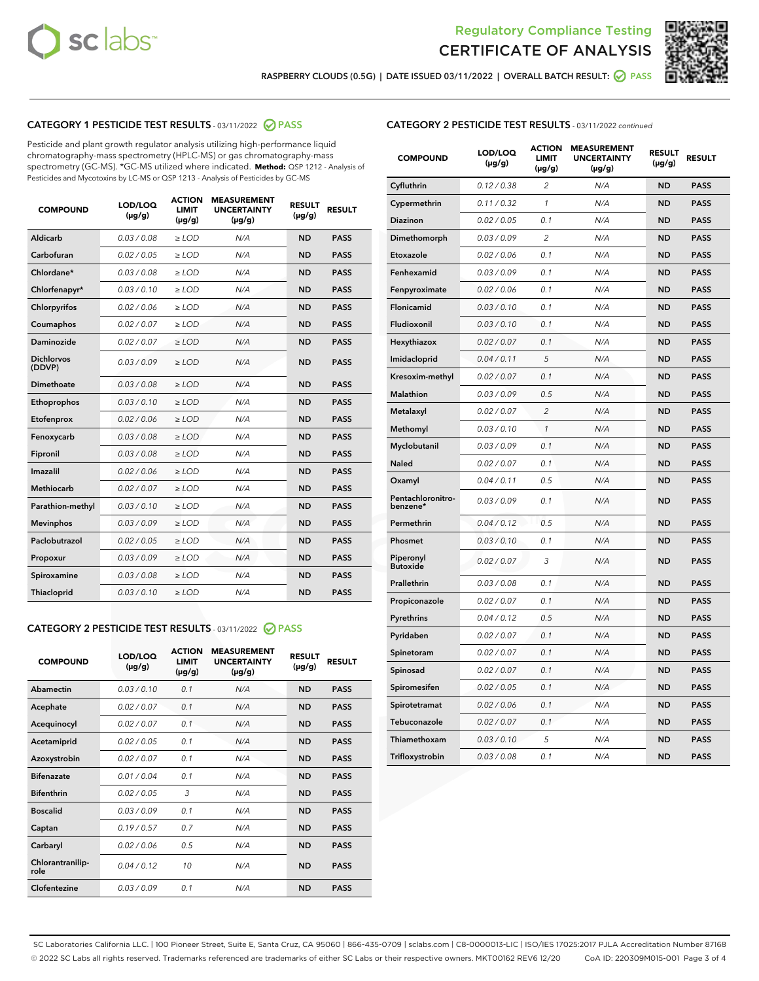



RASPBERRY CLOUDS (0.5G) | DATE ISSUED 03/11/2022 | OVERALL BATCH RESULT: @ PASS

# CATEGORY 1 PESTICIDE TEST RESULTS - 03/11/2022 2 PASS

Pesticide and plant growth regulator analysis utilizing high-performance liquid chromatography-mass spectrometry (HPLC-MS) or gas chromatography-mass spectrometry (GC-MS). \*GC-MS utilized where indicated. **Method:** QSP 1212 - Analysis of Pesticides and Mycotoxins by LC-MS or QSP 1213 - Analysis of Pesticides by GC-MS

| <b>COMPOUND</b>             | LOD/LOQ<br>$(\mu g/g)$ | <b>ACTION</b><br>LIMIT<br>$(\mu g/g)$ | <b>MEASUREMENT</b><br><b>UNCERTAINTY</b><br>$(\mu g/g)$ | <b>RESULT</b><br>$(\mu g/g)$ | <b>RESULT</b> |
|-----------------------------|------------------------|---------------------------------------|---------------------------------------------------------|------------------------------|---------------|
| Aldicarb                    | 0.03 / 0.08            | $\ge$ LOD                             | N/A                                                     | <b>ND</b>                    | <b>PASS</b>   |
| Carbofuran                  | 0.02 / 0.05            | $\ge$ LOD                             | N/A                                                     | <b>ND</b>                    | <b>PASS</b>   |
| Chlordane*                  | 0.03/0.08              | $>$ LOD                               | N/A                                                     | <b>ND</b>                    | <b>PASS</b>   |
| Chlorfenapyr*               | 0.03/0.10              | $>$ LOD                               | N/A                                                     | <b>ND</b>                    | <b>PASS</b>   |
| Chlorpyrifos                | 0.02 / 0.06            | $\ge$ LOD                             | N/A                                                     | <b>ND</b>                    | <b>PASS</b>   |
| Coumaphos                   | 0.02 / 0.07            | $\ge$ LOD                             | N/A                                                     | <b>ND</b>                    | <b>PASS</b>   |
| Daminozide                  | 0.02 / 0.07            | $\ge$ LOD                             | N/A                                                     | <b>ND</b>                    | <b>PASS</b>   |
| <b>Dichlorvos</b><br>(DDVP) | 0.03/0.09              | $>$ LOD                               | N/A                                                     | <b>ND</b>                    | <b>PASS</b>   |
| Dimethoate                  | 0.03 / 0.08            | $\ge$ LOD                             | N/A                                                     | <b>ND</b>                    | <b>PASS</b>   |
| Ethoprophos                 | 0.03/0.10              | $\ge$ LOD                             | N/A                                                     | <b>ND</b>                    | <b>PASS</b>   |
| Etofenprox                  | 0.02 / 0.06            | $\ge$ LOD                             | N/A                                                     | <b>ND</b>                    | <b>PASS</b>   |
| Fenoxycarb                  | 0.03 / 0.08            | $\ge$ LOD                             | N/A                                                     | <b>ND</b>                    | <b>PASS</b>   |
| Fipronil                    | 0.03 / 0.08            | $\ge$ LOD                             | N/A                                                     | <b>ND</b>                    | <b>PASS</b>   |
| Imazalil                    | 0.02/0.06              | $>$ LOD                               | N/A                                                     | <b>ND</b>                    | <b>PASS</b>   |
| <b>Methiocarb</b>           | 0.02 / 0.07            | $\ge$ LOD                             | N/A                                                     | <b>ND</b>                    | <b>PASS</b>   |
| Parathion-methyl            | 0.03/0.10              | $\ge$ LOD                             | N/A                                                     | <b>ND</b>                    | <b>PASS</b>   |
| <b>Mevinphos</b>            | 0.03/0.09              | $>$ LOD                               | N/A                                                     | <b>ND</b>                    | <b>PASS</b>   |
| Paclobutrazol               | 0.02 / 0.05            | $\ge$ LOD                             | N/A                                                     | <b>ND</b>                    | <b>PASS</b>   |
| Propoxur                    | 0.03/0.09              | $\ge$ LOD                             | N/A                                                     | <b>ND</b>                    | <b>PASS</b>   |
| Spiroxamine                 | 0.03 / 0.08            | $\geq$ LOD                            | N/A                                                     | <b>ND</b>                    | <b>PASS</b>   |
| Thiacloprid                 | 0.03/0.10              | $>$ LOD                               | N/A                                                     | <b>ND</b>                    | <b>PASS</b>   |

# CATEGORY 2 PESTICIDE TEST RESULTS - 03/11/2022 @ PASS

| <b>COMPOUND</b>          | LOD/LOQ<br>$(\mu g/g)$ | <b>ACTION</b><br><b>LIMIT</b><br>$(\mu g/g)$ | <b>MEASUREMENT</b><br><b>UNCERTAINTY</b><br>$(\mu g/g)$ | <b>RESULT</b><br>$(\mu g/g)$ | <b>RESULT</b> |
|--------------------------|------------------------|----------------------------------------------|---------------------------------------------------------|------------------------------|---------------|
| Abamectin                | 0.03/0.10              | 0.1                                          | N/A                                                     | <b>ND</b>                    | <b>PASS</b>   |
| Acephate                 | 0.02/0.07              | 0.1                                          | N/A                                                     | <b>ND</b>                    | <b>PASS</b>   |
| Acequinocyl              | 0.02/0.07              | 0.1                                          | N/A                                                     | <b>ND</b>                    | <b>PASS</b>   |
| Acetamiprid              | 0.02/0.05              | 0.1                                          | N/A                                                     | <b>ND</b>                    | <b>PASS</b>   |
| Azoxystrobin             | 0.02 / 0.07            | 0.1                                          | N/A                                                     | <b>ND</b>                    | <b>PASS</b>   |
| <b>Bifenazate</b>        | 0.01/0.04              | 0.1                                          | N/A                                                     | <b>ND</b>                    | <b>PASS</b>   |
| <b>Bifenthrin</b>        | 0.02 / 0.05            | 3                                            | N/A                                                     | <b>ND</b>                    | <b>PASS</b>   |
| <b>Boscalid</b>          | 0.03/0.09              | 0.1                                          | N/A                                                     | <b>ND</b>                    | <b>PASS</b>   |
| Captan                   | 0.19/0.57              | 0.7                                          | N/A                                                     | <b>ND</b>                    | <b>PASS</b>   |
| Carbaryl                 | 0.02/0.06              | 0.5                                          | N/A                                                     | <b>ND</b>                    | <b>PASS</b>   |
| Chlorantranilip-<br>role | 0.04/0.12              | 10                                           | N/A                                                     | <b>ND</b>                    | <b>PASS</b>   |
| Clofentezine             | 0.03/0.09              | 0.1                                          | N/A                                                     | <b>ND</b>                    | <b>PASS</b>   |

# CATEGORY 2 PESTICIDE TEST RESULTS - 03/11/2022 continued

| <b>COMPOUND</b>               | LOD/LOQ<br>(µg/g) | <b>ACTION</b><br>LIMIT<br>$(\mu g/g)$ | <b>MEASUREMENT</b><br><b>UNCERTAINTY</b><br>(µg/g) | <b>RESULT</b><br>$(\mu g/g)$ | <b>RESULT</b> |
|-------------------------------|-------------------|---------------------------------------|----------------------------------------------------|------------------------------|---------------|
| Cyfluthrin                    | 0.12 / 0.38       | $\overline{2}$                        | N/A                                                | <b>ND</b>                    | <b>PASS</b>   |
| Cypermethrin                  | 0.11 / 0.32       | 1                                     | N/A                                                | <b>ND</b>                    | <b>PASS</b>   |
| Diazinon                      | 0.02 / 0.05       | 0.1                                   | N/A                                                | <b>ND</b>                    | <b>PASS</b>   |
| Dimethomorph                  | 0.03 / 0.09       | $\overline{\mathcal{L}}$              | N/A                                                | <b>ND</b>                    | <b>PASS</b>   |
| Etoxazole                     | 0.02 / 0.06       | 0.1                                   | N/A                                                | <b>ND</b>                    | <b>PASS</b>   |
| Fenhexamid                    | 0.03 / 0.09       | 0.1                                   | N/A                                                | <b>ND</b>                    | <b>PASS</b>   |
| Fenpyroximate                 | 0.02 / 0.06       | 0.1                                   | N/A                                                | <b>ND</b>                    | <b>PASS</b>   |
| Flonicamid                    | 0.03 / 0.10       | 0.1                                   | N/A                                                | <b>ND</b>                    | <b>PASS</b>   |
| Fludioxonil                   | 0.03 / 0.10       | 0.1                                   | N/A                                                | <b>ND</b>                    | <b>PASS</b>   |
| Hexythiazox                   | 0.02 / 0.07       | 0.1                                   | N/A                                                | <b>ND</b>                    | <b>PASS</b>   |
| Imidacloprid                  | 0.04 / 0.11       | 5                                     | N/A                                                | <b>ND</b>                    | <b>PASS</b>   |
| Kresoxim-methyl               | 0.02 / 0.07       | 0.1                                   | N/A                                                | <b>ND</b>                    | <b>PASS</b>   |
| Malathion                     | 0.03 / 0.09       | 0.5                                   | N/A                                                | <b>ND</b>                    | <b>PASS</b>   |
| Metalaxyl                     | 0.02 / 0.07       | $\overline{c}$                        | N/A                                                | ND                           | <b>PASS</b>   |
| Methomyl                      | 0.03 / 0.10       | $\mathbf{1}$                          | N/A                                                | <b>ND</b>                    | <b>PASS</b>   |
| Myclobutanil                  | 0.03 / 0.09       | 0.1                                   | N/A                                                | <b>ND</b>                    | <b>PASS</b>   |
| Naled                         | 0.02 / 0.07       | 0.1                                   | N/A                                                | <b>ND</b>                    | <b>PASS</b>   |
| Oxamyl                        | 0.04 / 0.11       | 0.5                                   | N/A                                                | <b>ND</b>                    | <b>PASS</b>   |
| Pentachloronitro-<br>benzene* | 0.03 / 0.09       | 0.1                                   | N/A                                                | <b>ND</b>                    | <b>PASS</b>   |
| Permethrin                    | 0.04 / 0.12       | 0.5                                   | N/A                                                | <b>ND</b>                    | <b>PASS</b>   |
| Phosmet                       | 0.03 / 0.10       | 0.1                                   | N/A                                                | <b>ND</b>                    | <b>PASS</b>   |
| Piperonyl<br><b>Butoxide</b>  | 0.02 / 0.07       | 3                                     | N/A                                                | <b>ND</b>                    | <b>PASS</b>   |
| Prallethrin                   | 0.03 / 0.08       | 0.1                                   | N/A                                                | <b>ND</b>                    | <b>PASS</b>   |
| Propiconazole                 | 0.02 / 0.07       | 0.1                                   | N/A                                                | <b>ND</b>                    | <b>PASS</b>   |
| Pyrethrins                    | 0.04 / 0.12       | 0.5                                   | N/A                                                | <b>ND</b>                    | <b>PASS</b>   |
| Pyridaben                     | 0.02 / 0.07       | 0.1                                   | N/A                                                | <b>ND</b>                    | <b>PASS</b>   |
| Spinetoram                    | 0.02 / 0.07       | 0.1                                   | N/A                                                | <b>ND</b>                    | <b>PASS</b>   |
| Spinosad                      | 0.02 / 0.07       | 0.1                                   | N/A                                                | <b>ND</b>                    | PASS          |
| Spiromesifen                  | 0.02 / 0.05       | 0.1                                   | N/A                                                | <b>ND</b>                    | <b>PASS</b>   |
| Spirotetramat                 | 0.02 / 0.06       | 0.1                                   | N/A                                                | <b>ND</b>                    | <b>PASS</b>   |
| Tebuconazole                  | 0.02 / 0.07       | 0.1                                   | N/A                                                | <b>ND</b>                    | <b>PASS</b>   |
| Thiamethoxam                  | 0.03 / 0.10       | 5                                     | N/A                                                | <b>ND</b>                    | <b>PASS</b>   |
| Trifloxystrobin               | 0.03 / 0.08       | 0.1                                   | N/A                                                | <b>ND</b>                    | <b>PASS</b>   |

SC Laboratories California LLC. | 100 Pioneer Street, Suite E, Santa Cruz, CA 95060 | 866-435-0709 | sclabs.com | C8-0000013-LIC | ISO/IES 17025:2017 PJLA Accreditation Number 87168 © 2022 SC Labs all rights reserved. Trademarks referenced are trademarks of either SC Labs or their respective owners. MKT00162 REV6 12/20 CoA ID: 220309M015-001 Page 3 of 4